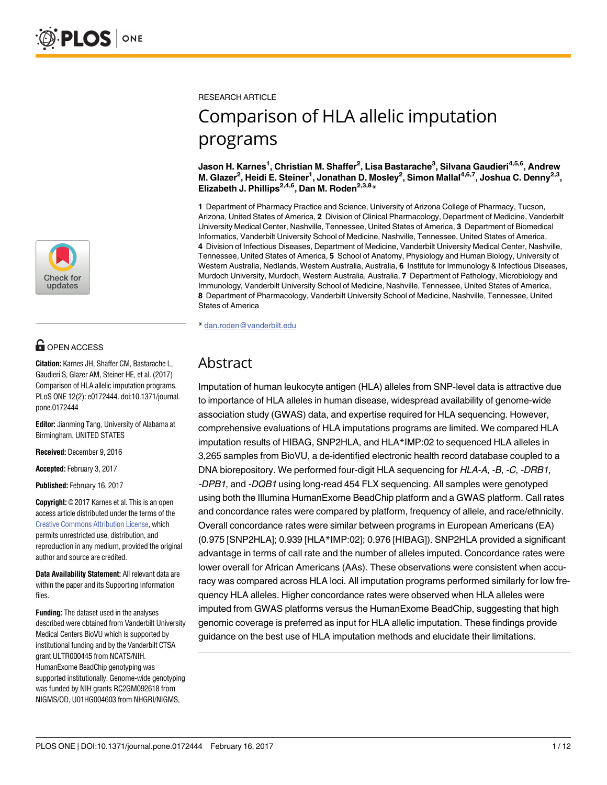

# **G** OPEN ACCESS

**Citation:** Karnes JH, Shaffer CM, Bastarache L, Gaudieri S, Glazer AM, Steiner HE, et al. (2017) Comparison of HLA allelic imputation programs. PLoS ONE 12(2): e0172444. doi:10.1371/journal. pone.0172444

**Editor:** Jianming Tang, University of Alabama at Birmingham, UNITED STATES

**Received:** December 9, 2016

**Accepted:** February 3, 2017

**Published:** February 16, 2017

**Copyright:** © 2017 Karnes et al. This is an open access article distributed under the terms of the Creative Commons [Attribution](http://creativecommons.org/licenses/by/4.0/) License, which permits unrestricted use, distribution, and reproduction in any medium, provided the original author and source are credited.

**Data Availability Statement:** All relevant data are within the paper and its Supporting Information files.

**Funding:** The dataset used in the analyses described were obtained from Vanderbilt University Medical Centers BioVU which is supported by institutional funding and by the Vanderbilt CTSA grant ULTR000445 from NCATS/NIH. HumanExome BeadChip genotyping was supported institutionally. Genome-wide genotyping was funded by NIH grants RC2GM092618 from NIGMS/OD, U01HG004603 from NHGRI/NIGMS,

RESEARCH ARTICLE

# Comparison of HLA allelic imputation programs

**Jason H. Karnes1 , Christian M. Shaffer2 , Lisa Bastarache3 , Silvana Gaudieri4,5,6, Andrew M. Glazer2 , Heidi E. Steiner1 , Jonathan D. Mosley2 , Simon Mallal4,6,7, Joshua C. Denny2,3, Elizabeth J. Phillips2,4,6, Dan M. Roden2,3,8\***

**1** Department of Pharmacy Practice and Science, University of Arizona College of Pharmacy, Tucson, Arizona, United States of America, **2** Division of Clinical Pharmacology, Department of Medicine, Vanderbilt University Medical Center, Nashville, Tennessee, United States of America, **3** Department of Biomedical Informatics, Vanderbilt University School of Medicine, Nashville, Tennessee, United States of America, **4** Division of Infectious Diseases, Department of Medicine, Vanderbilt University Medical Center, Nashville, Tennessee, United States of America, **5** School of Anatomy, Physiology and Human Biology, University of Western Australia, Nedlands, Western Australia, Australia, **6** Institute for Immunology & Infectious Diseases, Murdoch University, Murdoch, Western Australia, Australia, **7** Department of Pathology, Microbiology and Immunology, Vanderbilt University School of Medicine, Nashville, Tennessee, United States of America, **8** Department of Pharmacology, Vanderbilt University School of Medicine, Nashville, Tennessee, United States of America

\* dan.roden@vanderbilt.edu

# Abstract

Imputation of human leukocyte antigen (HLA) alleles from SNP-level data is attractive due to importance of HLA alleles in human disease, widespread availability of genome-wide association study (GWAS) data, and expertise required for HLA sequencing. However, comprehensive evaluations of HLA imputations programs are limited. We compared HLA imputation results of HIBAG, SNP2HLA, and HLA\*IMP:02 to sequenced HLA alleles in 3,265 samples from BioVU, a de-identified electronic health record database coupled to a DNA biorepository. We performed four-digit HLA sequencing for HLA-A, -B, -C, -DRB1, -DPB1, and -DQB1 using long-read 454 FLX sequencing. All samples were genotyped using both the Illumina HumanExome BeadChip platform and a GWAS platform. Call rates and concordance rates were compared by platform, frequency of allele, and race/ethnicity. Overall concordance rates were similar between programs in European Americans (EA) (0.975 [SNP2HLA]; 0.939 [HLA\*IMP:02]; 0.976 [HIBAG]). SNP2HLA provided a significant advantage in terms of call rate and the number of alleles imputed. Concordance rates were lower overall for African Americans (AAs). These observations were consistent when accuracy was compared across HLA loci. All imputation programs performed similarly for low frequency HLA alleles. Higher concordance rates were observed when HLA alleles were imputed from GWAS platforms versus the HumanExome BeadChip, suggesting that high genomic coverage is preferred as input for HLA allelic imputation. These findings provide guidance on the best use of HLA imputation methods and elucidate their limitations.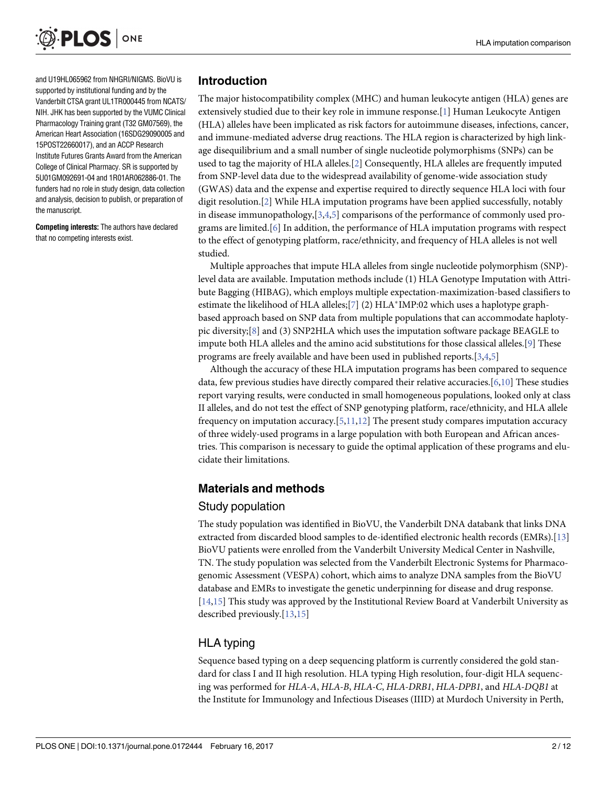<span id="page-1-0"></span>

and U19HL065962 from NHGRI/NIGMS. BioVU is supported by institutional funding and by the Vanderbilt CTSA grant UL1TR000445 from NCATS/ NIH. JHK has been supported by the VUMC Clinical Pharmacology Training grant (T32 GM07569), the American Heart Association (16SDG29090005 and 15POST22660017), and an ACCP Research Institute Futures Grants Award from the American College of Clinical Pharmacy. SR is supported by 5U01GM092691-04 and 1R01AR062886-01. The funders had no role in study design, data collection and analysis, decision to publish, or preparation of the manuscript.

**Competing interests:** The authors have declared that no competing interests exist.

## **Introduction**

The major histocompatibility complex (MHC) and human leukocyte antigen (HLA) genes are extensively studied due to their key role in immune response.[[1\]](#page-10-0) Human Leukocyte Antigen (HLA) alleles have been implicated as risk factors for autoimmune diseases, infections, cancer, and immune-mediated adverse drug reactions. The HLA region is characterized by high linkage disequilibrium and a small number of single nucleotide polymorphisms (SNPs) can be used to tag the majority of HLA alleles.[[2](#page-10-0)] Consequently, HLA alleles are frequently imputed from SNP-level data due to the widespread availability of genome-wide association study (GWAS) data and the expense and expertise required to directly sequence HLA loci with four digit resolution.[[2](#page-10-0)] While HLA imputation programs have been applied successfully, notably in disease immunopathology,[[3](#page-10-0),[4](#page-10-0),[5](#page-10-0)] comparisons of the performance of commonly used programs are limited.[\[6](#page-10-0)] In addition, the performance of HLA imputation programs with respect to the effect of genotyping platform, race/ethnicity, and frequency of HLA alleles is not well studied.

Multiple approaches that impute HLA alleles from single nucleotide polymorphism (SNP) level data are available. Imputation methods include (1) HLA Genotype Imputation with Attribute Bagging (HIBAG), which employs multiple expectation-maximization-based classifiers to estimate the likelihood of HLA alleles; [\[7\]](#page-10-0) (2)  $HLA$ \*IMP:02 which uses a haplotype graphbased approach based on SNP data from multiple populations that can accommodate haplotypic diversity;[\[8\]](#page-10-0) and (3) SNP2HLA which uses the imputation software package BEAGLE to impute both HLA alleles and the amino acid substitutions for those classical alleles.[\[9](#page-10-0)] These programs are freely available and have been used in published reports.[[3](#page-10-0),[4](#page-10-0),[5](#page-10-0)]

Although the accuracy of these HLA imputation programs has been compared to sequence data, few previous studies have directly compared their relative accuracies.[\[6,10\]](#page-10-0) These studies report varying results, were conducted in small homogeneous populations, looked only at class II alleles, and do not test the effect of SNP genotyping platform, race/ethnicity, and HLA allele frequency on imputation accuracy.  $[5,11,12]$  The present study compares imputation accuracy of three widely-used programs in a large population with both European and African ancestries. This comparison is necessary to guide the optimal application of these programs and elucidate their limitations.

# **Materials and methods**

# Study population

The study population was identified in BioVU, the Vanderbilt DNA databank that links DNA extracted from discarded blood samples to de-identified electronic health records (EMRs).[[13](#page-11-0)] BioVU patients were enrolled from the Vanderbilt University Medical Center in Nashville, TN. The study population was selected from the Vanderbilt Electronic Systems for Pharmacogenomic Assessment (VESPA) cohort, which aims to analyze DNA samples from the BioVU database and EMRs to investigate the genetic underpinning for disease and drug response. [\[14,15\]](#page-11-0) This study was approved by the Institutional Review Board at Vanderbilt University as described previously.[\[13,15\]](#page-11-0)

# HLA typing

Sequence based typing on a deep sequencing platform is currently considered the gold standard for class I and II high resolution. HLA typing High resolution, four-digit HLA sequencing was performed for *HLA-A*, *HLA-B*, *HLA-C*, *HLA-DRB1*, *HLA-DPB1*, and *HLA-DQB1* at the Institute for Immunology and Infectious Diseases (IIID) at Murdoch University in Perth,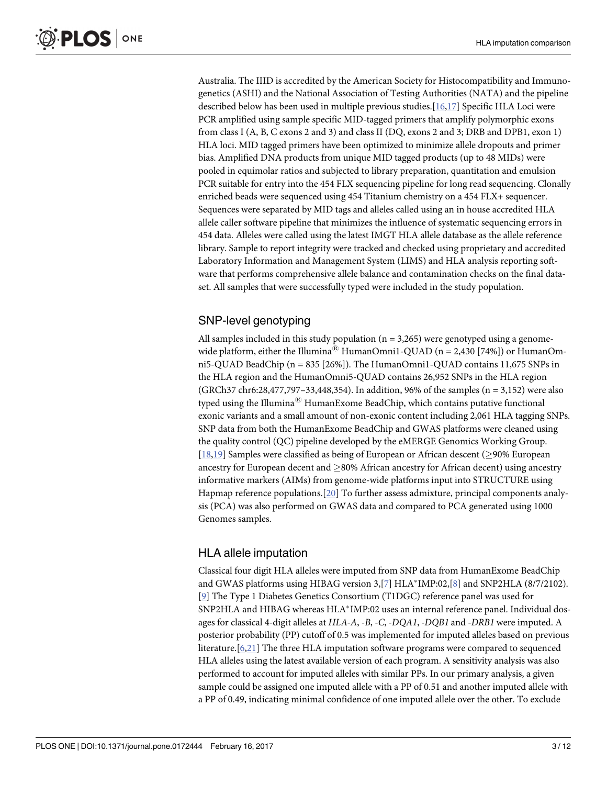<span id="page-2-0"></span>Australia. The IIID is accredited by the American Society for Histocompatibility and Immunogenetics (ASHI) and the National Association of Testing Authorities (NATA) and the pipeline described below has been used in multiple previous studies.[\[16,17\]](#page-11-0) Specific HLA Loci were PCR amplified using sample specific MID-tagged primers that amplify polymorphic exons from class I (A, B, C exons 2 and 3) and class II (DQ, exons 2 and 3; DRB and DPB1, exon 1) HLA loci. MID tagged primers have been optimized to minimize allele dropouts and primer bias. Amplified DNA products from unique MID tagged products (up to 48 MIDs) were pooled in equimolar ratios and subjected to library preparation, quantitation and emulsion PCR suitable for entry into the 454 FLX sequencing pipeline for long read sequencing. Clonally enriched beads were sequenced using 454 Titanium chemistry on a 454 FLX+ sequencer. Sequences were separated by MID tags and alleles called using an in house accredited HLA allele caller software pipeline that minimizes the influence of systematic sequencing errors in 454 data. Alleles were called using the latest IMGT HLA allele database as the allele reference library. Sample to report integrity were tracked and checked using proprietary and accredited Laboratory Information and Management System (LIMS) and HLA analysis reporting software that performs comprehensive allele balance and contamination checks on the final dataset. All samples that were successfully typed were included in the study population.

# SNP-level genotyping

All samples included in this study population ( $n = 3,265$ ) were genotyped using a genomewide platform, either the Illumina<sup>®</sup> HumanOmni1-QUAD (n = 2,430 [74%]) or HumanOmni5-QUAD BeadChip (n = 835 [26%]). The HumanOmni1-QUAD contains 11,675 SNPs in the HLA region and the HumanOmni5-QUAD contains 26,952 SNPs in the HLA region (GRCh37 chr6:28,477,797–33,448,354). In addition, 96% of the samples (n = 3,152) were also typed using the Illumina<sup>®</sup> HumanExome BeadChip, which contains putative functional exonic variants and a small amount of non-exonic content including 2,061 HLA tagging SNPs. SNP data from both the HumanExome BeadChip and GWAS platforms were cleaned using the quality control (QC) pipeline developed by the eMERGE Genomics Working Group.  $[18,19]$  Samples were classified as being of European or African descent ( $>90\%$  European ancestry for European decent and  $\geq$  80% African ancestry for African decent) using ancestry informative markers (AIMs) from genome-wide platforms input into STRUCTURE using Hapmap reference populations.[\[20\]](#page-11-0) To further assess admixture, principal components analysis (PCA) was also performed on GWAS data and compared to PCA generated using 1000 Genomes samples.

# HLA allele imputation

Classical four digit HLA alleles were imputed from SNP data from HumanExome BeadChip and GWAS platforms using HIBAG version  $3$ , [\[7](#page-10-0)] HLA\*IMP:02, [[8\]](#page-10-0) and SNP2HLA (8/7/2102). [\[9](#page-10-0)] The Type 1 Diabetes Genetics Consortium (T1DGC) reference panel was used for SNP2HLA and HIBAG whereas HLA\*IMP:02 uses an internal reference panel. Individual dosages for classical 4-digit alleles at *HLA-A*, *-B*, *-C*, *-DQA1*, *-DQB1* and *-DRB1* were imputed. A posterior probability (PP) cutoff of 0.5 was implemented for imputed alleles based on previous literature.[\[6](#page-10-0)[,21\]](#page-11-0) The three HLA imputation software programs were compared to sequenced HLA alleles using the latest available version of each program. A sensitivity analysis was also performed to account for imputed alleles with similar PPs. In our primary analysis, a given sample could be assigned one imputed allele with a PP of 0.51 and another imputed allele with a PP of 0.49, indicating minimal confidence of one imputed allele over the other. To exclude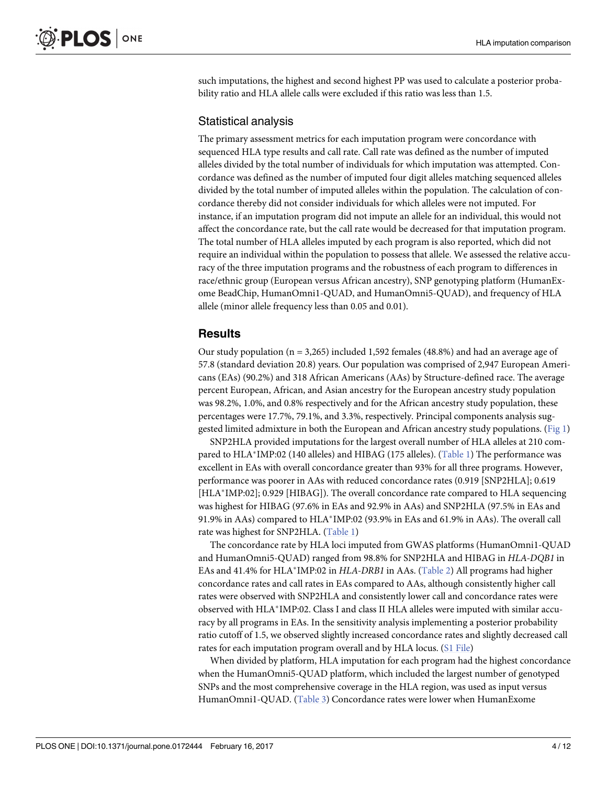<span id="page-3-0"></span>such imputations, the highest and second highest PP was used to calculate a posterior probability ratio and HLA allele calls were excluded if this ratio was less than 1.5.

#### Statistical analysis

The primary assessment metrics for each imputation program were concordance with sequenced HLA type results and call rate. Call rate was defined as the number of imputed alleles divided by the total number of individuals for which imputation was attempted. Concordance was defined as the number of imputed four digit alleles matching sequenced alleles divided by the total number of imputed alleles within the population. The calculation of concordance thereby did not consider individuals for which alleles were not imputed. For instance, if an imputation program did not impute an allele for an individual, this would not affect the concordance rate, but the call rate would be decreased for that imputation program. The total number of HLA alleles imputed by each program is also reported, which did not require an individual within the population to possess that allele. We assessed the relative accuracy of the three imputation programs and the robustness of each program to differences in race/ethnic group (European versus African ancestry), SNP genotyping platform (HumanExome BeadChip, HumanOmni1-QUAD, and HumanOmni5-QUAD), and frequency of HLA allele (minor allele frequency less than 0.05 and 0.01).

#### **Results**

Our study population ( $n = 3,265$ ) included 1,592 females (48.8%) and had an average age of 57.8 (standard deviation 20.8) years. Our population was comprised of 2,947 European Americans (EAs) (90.2%) and 318 African Americans (AAs) by Structure-defined race. The average percent European, African, and Asian ancestry for the European ancestry study population was 98.2%, 1.0%, and 0.8% respectively and for the African ancestry study population, these percentages were 17.7%, 79.1%, and 3.3%, respectively. Principal components analysis suggested limited admixture in both the European and African ancestry study populations. [\(Fig](#page-4-0) 1)

SNP2HLA provided imputations for the largest overall number of HLA alleles at 210 com-pared to HLA\*IMP:02 (140 alleles) and HIBAG (175 alleles). ([Table](#page-4-0) 1) The performance was excellent in EAs with overall concordance greater than 93% for all three programs. However, performance was poorer in AAs with reduced concordance rates (0.919 [SNP2HLA]; 0.619  $[HLA<sup>*</sup>IMP:02]; 0.929 [HIBAG]).$  The overall concordance rate compared to HLA sequencing was highest for HIBAG (97.6% in EAs and 92.9% in AAs) and SNP2HLA (97.5% in EAs and 91.9% in AAs) compared to  $HLA^*IMP:02$  (93.9% in EAs and 61.9% in AAs). The overall call rate was highest for SNP2HLA. [\(Table](#page-4-0) 1)

The concordance rate by HLA loci imputed from GWAS platforms (HumanOmni1-QUAD and HumanOmni5-QUAD) ranged from 98.8% for SNP2HLA and HIBAG in *HLA-DQB1* in EAs and 41.4% for HLA<sup>\*</sup>IMP:02 in *HLA-DRB1* in AAs. [\(Table](#page-5-0) 2) All programs had higher concordance rates and call rates in EAs compared to AAs, although consistently higher call rates were observed with SNP2HLA and consistently lower call and concordance rates were observed with HLA<sup>\*</sup>IMP:02. Class I and class II HLA alleles were imputed with similar accuracy by all programs in EAs. In the sensitivity analysis implementing a posterior probability ratio cutoff of 1.5, we observed slightly increased concordance rates and slightly decreased call rates for each imputation program overall and by HLA locus. (S1 [File](#page-9-0))

When divided by platform, HLA imputation for each program had the highest concordance when the HumanOmni5-QUAD platform, which included the largest number of genotyped SNPs and the most comprehensive coverage in the HLA region, was used as input versus HumanOmni1-QUAD. ([Table](#page-5-0) 3) Concordance rates were lower when HumanExome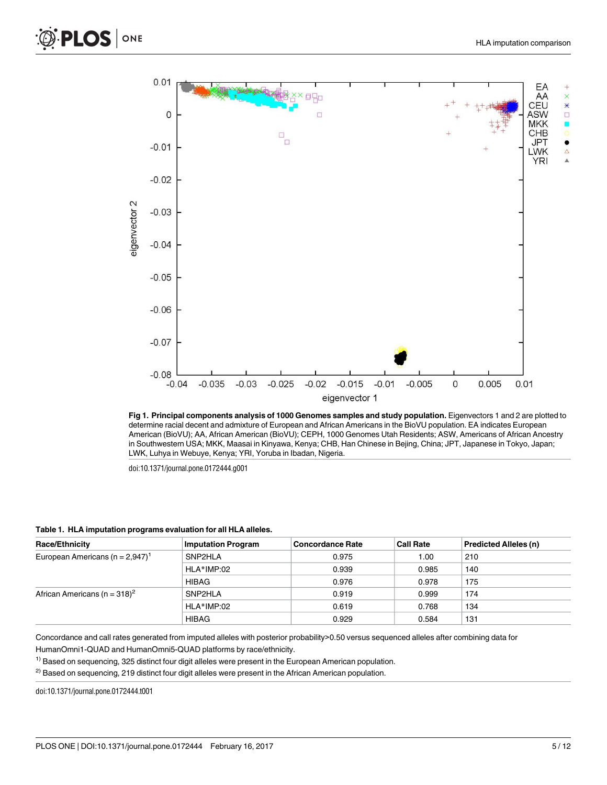<span id="page-4-0"></span>



doi:10.1371/journal.pone.0172444.g001

| <b>Race/Ethnicity</b>                          | <b>Imputation Program</b> | <b>Concordance Rate</b> | <b>Call Rate</b> | <b>Predicted Alleles (n)</b> |
|------------------------------------------------|---------------------------|-------------------------|------------------|------------------------------|
| European Americans (n = $2.947$ ) <sup>1</sup> | SNP2HLA                   | 0.975                   | 1.00             | 210                          |
|                                                | HLA*IMP:02                | 0.939                   | 0.985            | 140                          |
|                                                | <b>HIBAG</b>              | 0.976                   | 0.978            | 175                          |
| African Americans (n = $318$ ) <sup>2</sup>    | SNP2HLA                   | 0.919                   | 0.999            | 174                          |
|                                                | HLA*IMP:02                | 0.619                   | 0.768            | 134                          |
|                                                | <b>HIBAG</b>              | 0.929                   | 0.584            | 131                          |

Concordance and call rates generated from imputed alleles with posterior probability>0.50 versus sequenced alleles after combining data for HumanOmni1-QUAD and HumanOmni5-QUAD platforms by race/ethnicity.

<sup>1)</sup> Based on sequencing, 325 distinct four digit alleles were present in the European American population.

<sup>2)</sup> Based on sequencing, 219 distinct four digit alleles were present in the African American population.

doi:10.1371/journal.pone.0172444.t001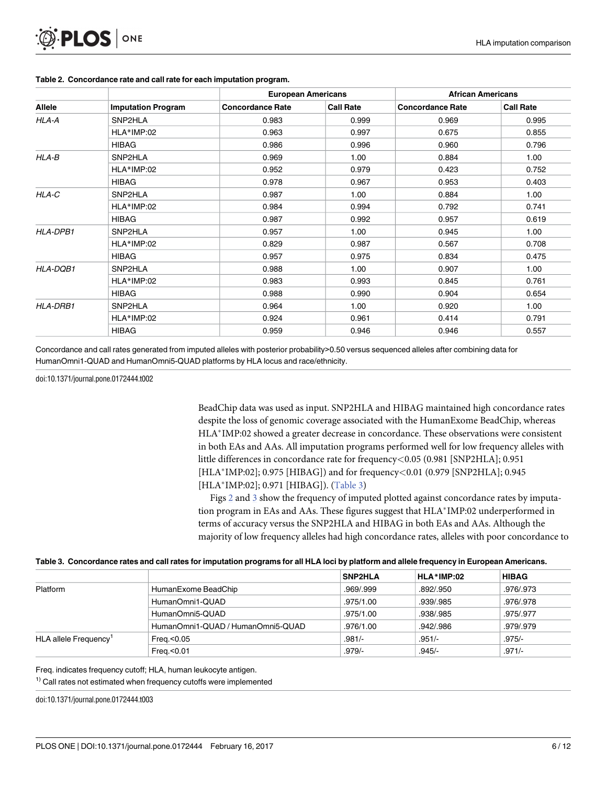| <b>Allele</b>   | <b>Imputation Program</b> | <b>European Americans</b> |                  |                         | <b>African Americans</b> |  |
|-----------------|---------------------------|---------------------------|------------------|-------------------------|--------------------------|--|
|                 |                           | <b>Concordance Rate</b>   | <b>Call Rate</b> | <b>Concordance Rate</b> | <b>Call Rate</b>         |  |
| HLA-A           | SNP2HLA                   | 0.983                     | 0.999            | 0.969                   | 0.995                    |  |
|                 | HLA*IMP:02                | 0.963                     | 0.997            | 0.675                   | 0.855                    |  |
|                 | <b>HIBAG</b>              | 0.986                     | 0.996            | 0.960                   | 0.796                    |  |
| $HLA-B$         | SNP2HLA                   | 0.969                     | 1.00             | 0.884                   | 1.00                     |  |
|                 | HLA*IMP:02                | 0.952                     | 0.979            | 0.423                   | 0.752                    |  |
|                 | <b>HIBAG</b>              | 0.978                     | 0.967            | 0.953                   | 0.403                    |  |
| HLA-C           | SNP2HLA                   | 0.987                     | 1.00             | 0.884                   | 1.00                     |  |
|                 | HLA*IMP:02                | 0.984                     | 0.994            | 0.792                   | 0.741                    |  |
|                 | <b>HIBAG</b>              | 0.987                     | 0.992            | 0.957                   | 0.619                    |  |
| <b>HLA-DPB1</b> | SNP2HLA                   | 0.957                     | 1.00             | 0.945                   | 1.00                     |  |
|                 | HLA*IMP:02                | 0.829                     | 0.987            | 0.567                   | 0.708                    |  |
|                 | <b>HIBAG</b>              | 0.957                     | 0.975            | 0.834                   | 0.475                    |  |
| HLA-DQB1        | SNP2HLA                   | 0.988                     | 1.00             | 0.907                   | 1.00                     |  |
|                 | HLA*IMP:02                | 0.983                     | 0.993            | 0.845                   | 0.761                    |  |
|                 | <b>HIBAG</b>              | 0.988                     | 0.990            | 0.904                   | 0.654                    |  |
| <b>HLA-DRB1</b> | SNP2HLA                   | 0.964                     | 1.00             | 0.920                   | 1.00                     |  |
|                 | HLA*IMP:02                | 0.924                     | 0.961            | 0.414                   | 0.791                    |  |
|                 | <b>HIBAG</b>              | 0.959                     | 0.946            | 0.946                   | 0.557                    |  |

#### <span id="page-5-0"></span>**[Table](#page-3-0) 2. Concordance rate and call rate for each imputation program.**

Concordance and call rates generated from imputed alleles with posterior probability>0.50 versus sequenced alleles after combining data for HumanOmni1-QUAD and HumanOmni5-QUAD platforms by HLA locus and race/ethnicity.

doi:10.1371/journal.pone.0172444.t002

BeadChip data was used as input. SNP2HLA and HIBAG maintained high concordance rates despite the loss of genomic coverage associated with the HumanExome BeadChip, whereas HLA<sup>\*</sup>IMP:02 showed a greater decrease in concordance. These observations were consistent in both EAs and AAs. All imputation programs performed well for low frequency alleles with little differences in concordance rate for frequency*<*0.05 (0.981 [SNP2HLA]; 0.951 [HLA\*IMP:02]; 0.975 [HIBAG]) and for frequency < 0.01 (0.979 [SNP2HLA]; 0.945 [HLA\*IMP:02]; 0.971 [HIBAG]). (Table 3)

Figs [2](#page-6-0) and [3](#page-7-0) show the frequency of imputed plotted against concordance rates by imputation program in EAs and AAs. These figures suggest that HLA\*IMP:02 underperformed in terms of accuracy versus the SNP2HLA and HIBAG in both EAs and AAs. Although the majority of low frequency alleles had high concordance rates, alleles with poor concordance to

| Table 3. Concordance rates and call rates for imputation programs for all HLA loci by platform and allele frequency in European Americans. |  |
|--------------------------------------------------------------------------------------------------------------------------------------------|--|
|--------------------------------------------------------------------------------------------------------------------------------------------|--|

|                                   |                                   | <b>SNP2HLA</b> | HLA*IMP:02 | <b>HIBAG</b> |
|-----------------------------------|-----------------------------------|----------------|------------|--------------|
| <b>Platform</b>                   | HumanExome BeadChip               | .969/.999      | .892/.950  | .976/.973    |
|                                   | HumanOmni1-QUAD                   | .975/1.00      | .939/.985  | .976/.978    |
|                                   | HumanOmni5-QUAD                   | .975/1.00      | .938/.985  | .975/.977    |
|                                   | HumanOmni1-QUAD / HumanOmni5-QUAD | .976/1.00      | .942/.986  | .979/.979    |
| HLA allele Frequency <sup>1</sup> | Freg. < 0.05                      | $.981/-$       | $.951/-$   | $.975/-$     |
|                                   | Freg. < 0.01                      | $.979/-$       | .945/      | $.971/-$     |

Freq. indicates frequency cutoff; HLA, human leukocyte antigen.

 $1)$  Call rates not estimated when frequency cutoffs were implemented

doi:10.1371/journal.pone.0172444.t003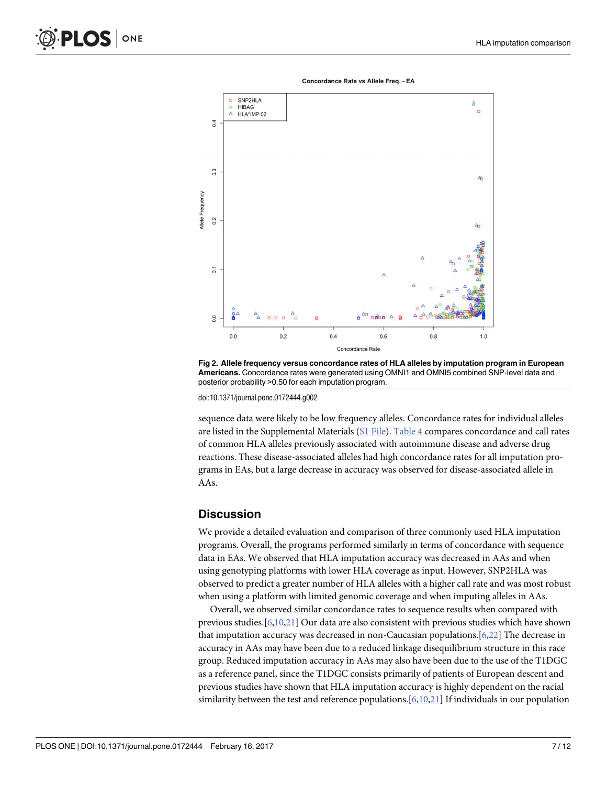<span id="page-6-0"></span>

Concordance Rate vs Allele Freq. - EA

**[Fig](#page-5-0) 2. Allele frequency versus concordance rates of HLA alleles by imputation program in European Americans.** Concordance rates were generated using OMNI1 and OMNI5 combined SNP-level data and posterior probability >0.50 for each imputation program.

doi:10.1371/journal.pone.0172444.g002

sequence data were likely to be low frequency alleles. Concordance rates for individual alleles are listed in the Supplemental Materials (S1 [File](#page-9-0)). [Table](#page-8-0) 4 compares concordance and call rates of common HLA alleles previously associated with autoimmune disease and adverse drug reactions. These disease-associated alleles had high concordance rates for all imputation programs in EAs, but a large decrease in accuracy was observed for disease-associated allele in AAs.

## **Discussion**

We provide a detailed evaluation and comparison of three commonly used HLA imputation programs. Overall, the programs performed similarly in terms of concordance with sequence data in EAs. We observed that HLA imputation accuracy was decreased in AAs and when using genotyping platforms with lower HLA coverage as input. However, SNP2HLA was observed to predict a greater number of HLA alleles with a higher call rate and was most robust when using a platform with limited genomic coverage and when imputing alleles in AAs.

Overall, we observed similar concordance rates to sequence results when compared with previous studies.[[6,10](#page-10-0),[21](#page-11-0)] Our data are also consistent with previous studies which have shown that imputation accuracy was decreased in non-Caucasian populations.[\[6](#page-10-0)[,22\]](#page-11-0) The decrease in accuracy in AAs may have been due to a reduced linkage disequilibrium structure in this race group. Reduced imputation accuracy in AAs may also have been due to the use of the T1DGC as a reference panel, since the T1DGC consists primarily of patients of European descent and previous studies have shown that HLA imputation accuracy is highly dependent on the racial similarity between the test and reference populations.[[6](#page-10-0),[10](#page-10-0)[,21\]](#page-11-0) If individuals in our population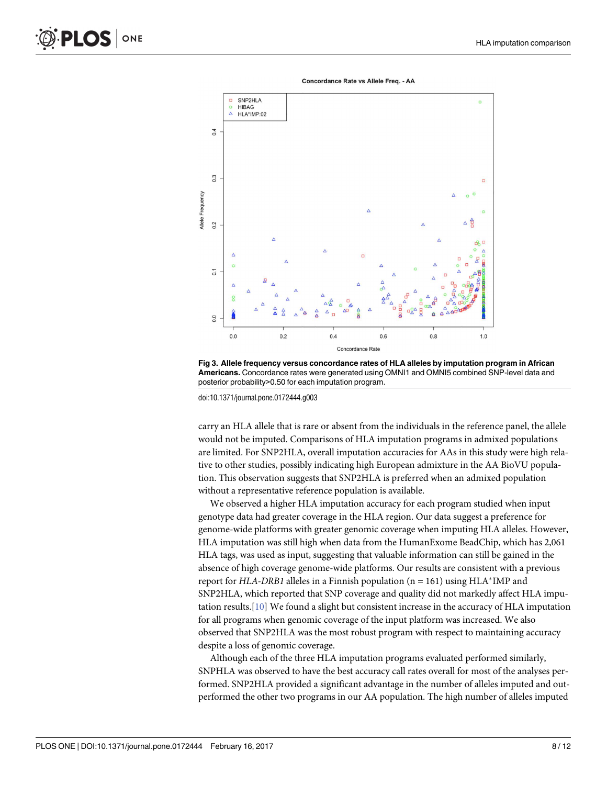<span id="page-7-0"></span>

Concordance Rate vs Allele Freq. - AA

**[Fig](#page-5-0) 3. Allele frequency versus concordance rates of HLA alleles by imputation program in African Americans.** Concordance rates were generated using OMNI1 and OMNI5 combined SNP-level data and posterior probability>0.50 for each imputation program.

doi:10.1371/journal.pone.0172444.g003

carry an HLA allele that is rare or absent from the individuals in the reference panel, the allele would not be imputed. Comparisons of HLA imputation programs in admixed populations are limited. For SNP2HLA, overall imputation accuracies for AAs in this study were high relative to other studies, possibly indicating high European admixture in the AA BioVU population. This observation suggests that SNP2HLA is preferred when an admixed population without a representative reference population is available.

We observed a higher HLA imputation accuracy for each program studied when input genotype data had greater coverage in the HLA region. Our data suggest a preference for genome-wide platforms with greater genomic coverage when imputing HLA alleles. However, HLA imputation was still high when data from the HumanExome BeadChip, which has 2,061 HLA tags, was used as input, suggesting that valuable information can still be gained in the absence of high coverage genome-wide platforms. Our results are consistent with a previous report for  $HLA$ -DRB1 alleles in a Finnish population ( $n = 161$ ) using  $HLA$ <sup>\*</sup>IMP and SNP2HLA, which reported that SNP coverage and quality did not markedly affect HLA imputation results.[\[10\]](#page-10-0) We found a slight but consistent increase in the accuracy of HLA imputation for all programs when genomic coverage of the input platform was increased. We also observed that SNP2HLA was the most robust program with respect to maintaining accuracy despite a loss of genomic coverage.

Although each of the three HLA imputation programs evaluated performed similarly, SNPHLA was observed to have the best accuracy call rates overall for most of the analyses performed. SNP2HLA provided a significant advantage in the number of alleles imputed and outperformed the other two programs in our AA population. The high number of alleles imputed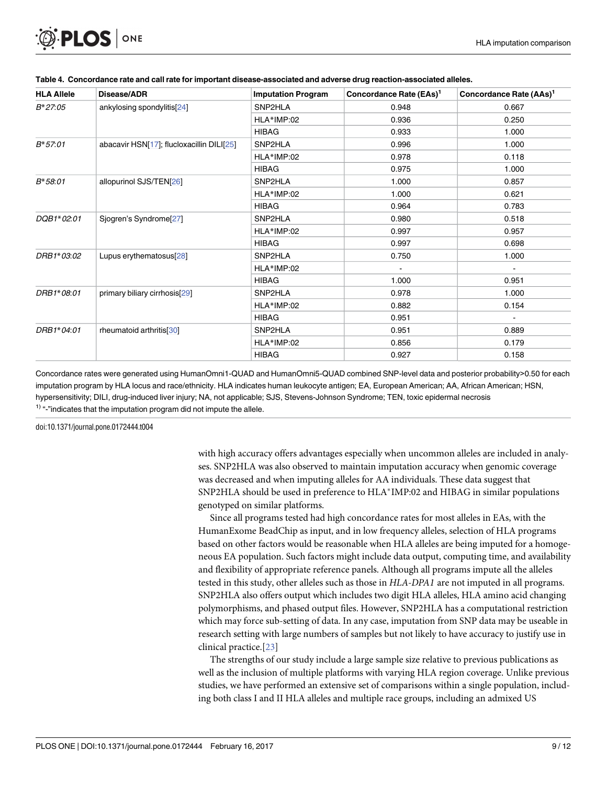<span id="page-8-0"></span>

| <b>HLA Allele</b> | Disease/ADR                               | <b>Imputation Program</b> | Concordance Rate (EAs) <sup>1</sup> | Concordance Rate (AAs) <sup>1</sup> |
|-------------------|-------------------------------------------|---------------------------|-------------------------------------|-------------------------------------|
| B*27:05           | ankylosing spondylitis[24]                | SNP2HLA                   | 0.948                               | 0.667                               |
|                   |                                           | HLA*IMP:02                | 0.936                               | 0.250                               |
|                   |                                           | <b>HIBAG</b>              | 0.933                               | 1.000                               |
| $B*57:01$         | abacavir HSN[17]; flucloxacillin DILI[25] | SNP2HLA                   | 0.996                               | 1.000                               |
|                   |                                           | HLA*IMP:02                | 0.978                               | 0.118                               |
|                   |                                           | <b>HIBAG</b>              | 0.975                               | 1.000                               |
| $B*58:01$         | allopurinol SJS/TEN[26]                   | SNP2HLA                   | 1.000                               | 0.857                               |
|                   |                                           | HLA*IMP:02                | 1.000                               | 0.621                               |
|                   |                                           | <b>HIBAG</b>              | 0.964                               | 0.783                               |
| DQB1*02.01        | Sjogren's Syndrome <sup>[27]</sup>        | SNP2HLA                   | 0.980                               | 0.518                               |
|                   |                                           | HLA*IMP:02                | 0.997                               | 0.957                               |
|                   |                                           | <b>HIBAG</b>              | 0.997                               | 0.698                               |
| DRB1*03:02        | Lupus erythematosus[28]                   | SNP2HLA                   | 0.750                               | 1.000                               |
|                   |                                           | HLA*IMP:02                |                                     | $\blacksquare$                      |
|                   |                                           | <b>HIBAG</b>              | 1.000                               | 0.951                               |
| DRB1*08:01        | primary biliary cirrhosis[29]             | SNP2HLA                   | 0.978                               | 1.000                               |
|                   |                                           | HLA*IMP:02                | 0.882                               | 0.154                               |
|                   |                                           | <b>HIBAG</b>              | 0.951                               |                                     |
| DRB1*04:01        | rheumatoid arthritis[30]                  | SNP2HLA                   | 0.951                               | 0.889                               |
|                   |                                           | HLA*IMP:02                | 0.856                               | 0.179                               |
|                   |                                           | <b>HIBAG</b>              | 0.927                               | 0.158                               |

#### **[Table](#page-6-0) 4. Concordance rate and call rate for important disease-associated and adverse drug reaction-associated alleles.**

Concordance rates were generated using HumanOmni1-QUAD and HumanOmni5-QUAD combined SNP-level data and posterior probability>0.50 for each imputation program by HLA locus and race/ethnicity. HLA indicates human leukocyte antigen; EA, European American; AA, African American; HSN, hypersensitivity; DILI, drug-induced liver injury; NA, not applicable; SJS, Stevens-Johnson Syndrome; TEN, toxic epidermal necrosis  $1)$  "-"indicates that the imputation program did not impute the allele.

doi:10.1371/journal.pone.0172444.t004

with high accuracy offers advantages especially when uncommon alleles are included in analyses. SNP2HLA was also observed to maintain imputation accuracy when genomic coverage was decreased and when imputing alleles for AA individuals. These data suggest that SNP2HLA should be used in preference to  $HLA^*IMP:02$  and  $HIBAG$  in similar populations genotyped on similar platforms.

Since all programs tested had high concordance rates for most alleles in EAs, with the HumanExome BeadChip as input, and in low frequency alleles, selection of HLA programs based on other factors would be reasonable when HLA alleles are being imputed for a homogeneous EA population. Such factors might include data output, computing time, and availability and flexibility of appropriate reference panels. Although all programs impute all the alleles tested in this study, other alleles such as those in *HLA-DPA1* are not imputed in all programs. SNP2HLA also offers output which includes two digit HLA alleles, HLA amino acid changing polymorphisms, and phased output files. However, SNP2HLA has a computational restriction which may force sub-setting of data. In any case, imputation from SNP data may be useable in research setting with large numbers of samples but not likely to have accuracy to justify use in clinical practice.[[23\]](#page-11-0)

The strengths of our study include a large sample size relative to previous publications as well as the inclusion of multiple platforms with varying HLA region coverage. Unlike previous studies, we have performed an extensive set of comparisons within a single population, including both class I and II HLA alleles and multiple race groups, including an admixed US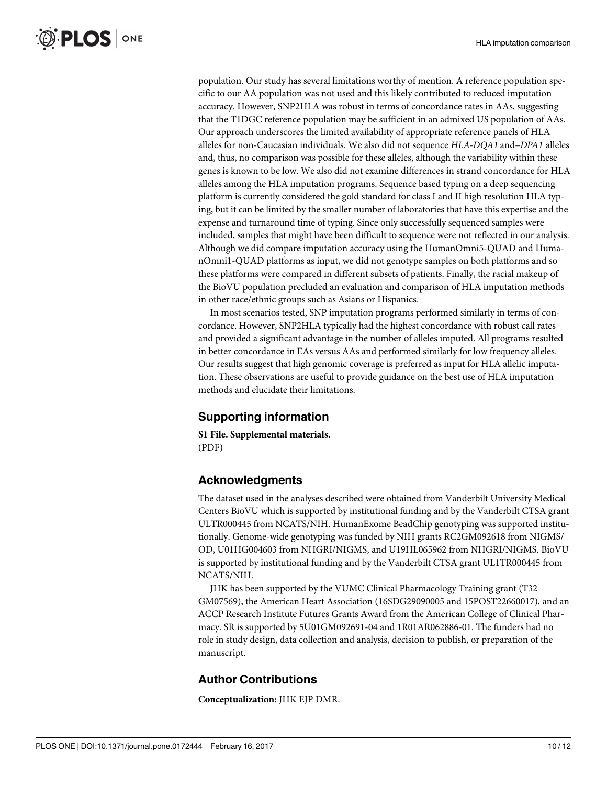<span id="page-9-0"></span>population. Our study has several limitations worthy of mention. A reference population specific to our AA population was not used and this likely contributed to reduced imputation accuracy. However, SNP2HLA was robust in terms of concordance rates in AAs, suggesting that the T1DGC reference population may be sufficient in an admixed US population of AAs. Our approach underscores the limited availability of appropriate reference panels of HLA alleles for non-Caucasian individuals. We also did not sequence *HLA-DQA1* and–*DPA1* alleles and, thus, no comparison was possible for these alleles, although the variability within these genes is known to be low. We also did not examine differences in strand concordance for HLA alleles among the HLA imputation programs. Sequence based typing on a deep sequencing platform is currently considered the gold standard for class I and II high resolution HLA typing, but it can be limited by the smaller number of laboratories that have this expertise and the expense and turnaround time of typing. Since only successfully sequenced samples were included, samples that might have been difficult to sequence were not reflected in our analysis. Although we did compare imputation accuracy using the HumanOmni5-QUAD and HumanOmni1-QUAD platforms as input, we did not genotype samples on both platforms and so these platforms were compared in different subsets of patients. Finally, the racial makeup of the BioVU population precluded an evaluation and comparison of HLA imputation methods in other race/ethnic groups such as Asians or Hispanics.

In most scenarios tested, SNP imputation programs performed similarly in terms of concordance. However, SNP2HLA typically had the highest concordance with robust call rates and provided a significant advantage in the number of alleles imputed. All programs resulted in better concordance in EAs versus AAs and performed similarly for low frequency alleles. Our results suggest that high genomic coverage is preferred as input for HLA allelic imputation. These observations are useful to provide guidance on the best use of HLA imputation methods and elucidate their limitations.

# **Supporting information**

**S1 [File.](http://www.plosone.org/article/fetchSingleRepresentation.action?uri=info:doi/10.1371/journal.pone.0172444.s001) Supplemental materials.** (PDF)

# **Acknowledgments**

The dataset used in the analyses described were obtained from Vanderbilt University Medical Centers BioVU which is supported by institutional funding and by the Vanderbilt CTSA grant ULTR000445 from NCATS/NIH. HumanExome BeadChip genotyping was supported institutionally. Genome-wide genotyping was funded by NIH grants RC2GM092618 from NIGMS/ OD, U01HG004603 from NHGRI/NIGMS, and U19HL065962 from NHGRI/NIGMS. BioVU is supported by institutional funding and by the Vanderbilt CTSA grant UL1TR000445 from NCATS/NIH.

JHK has been supported by the VUMC Clinical Pharmacology Training grant (T32 GM07569), the American Heart Association (16SDG29090005 and 15POST22660017), and an ACCP Research Institute Futures Grants Award from the American College of Clinical Pharmacy. SR is supported by 5U01GM092691-04 and 1R01AR062886-01. The funders had no role in study design, data collection and analysis, decision to publish, or preparation of the manuscript.

# **Author Contributions**

**Conceptualization:** JHK EJP DMR.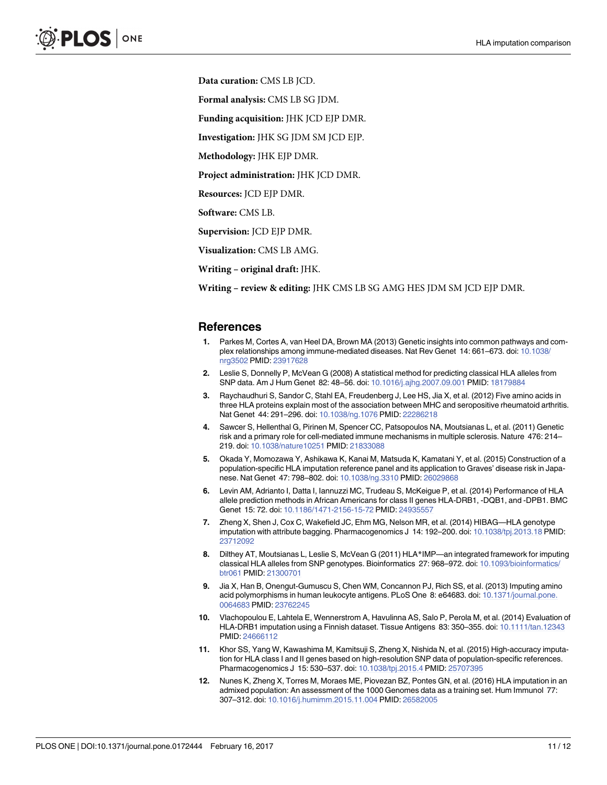<span id="page-10-0"></span>**Data curation:** CMS LB JCD.

**Formal analysis:** CMS LB SG JDM.

**Funding acquisition:** JHK JCD EJP DMR.

**Investigation:** JHK SG JDM SM JCD EJP.

**Methodology:** JHK EJP DMR.

**Project administration:** JHK JCD DMR.

**Resources:** JCD EJP DMR.

**Software:** CMS LB.

**Supervision:** JCD EJP DMR.

**Visualization:** CMS LB AMG.

**Writing – original draft:** JHK.

**Writing – review & editing:** JHK CMS LB SG AMG HES JDM SM JCD EJP DMR.

#### **References**

- **[1](#page-1-0).** Parkes M, Cortes A, van Heel DA, Brown MA (2013) Genetic insights into common pathways and complex relationships among immune-mediated diseases. Nat Rev Genet 14: 661–673. doi: [10.1038/](http://dx.doi.org/10.1038/nrg3502) [nrg3502](http://dx.doi.org/10.1038/nrg3502) PMID: [23917628](http://www.ncbi.nlm.nih.gov/pubmed/23917628)
- **[2](#page-1-0).** Leslie S, Donnelly P, McVean G (2008) A statistical method for predicting classical HLA alleles from SNP data. Am J Hum Genet 82: 48–56. doi: [10.1016/j.ajhg.2007.09.001](http://dx.doi.org/10.1016/j.ajhg.2007.09.001) PMID: [18179884](http://www.ncbi.nlm.nih.gov/pubmed/18179884)
- **[3](#page-1-0).** Raychaudhuri S, Sandor C, Stahl EA, Freudenberg J, Lee HS, Jia X, et al. (2012) Five amino acids in three HLA proteins explain most of the association between MHC and seropositive rheumatoid arthritis. Nat Genet 44: 291–296. doi: [10.1038/ng.1076](http://dx.doi.org/10.1038/ng.1076) PMID: [22286218](http://www.ncbi.nlm.nih.gov/pubmed/22286218)
- **[4](#page-1-0).** Sawcer S, Hellenthal G, Pirinen M, Spencer CC, Patsopoulos NA, Moutsianas L, et al. (2011) Genetic risk and a primary role for cell-mediated immune mechanisms in multiple sclerosis. Nature 476: 214– 219. doi: [10.1038/nature10251](http://dx.doi.org/10.1038/nature10251) PMID: [21833088](http://www.ncbi.nlm.nih.gov/pubmed/21833088)
- **[5](#page-1-0).** Okada Y, Momozawa Y, Ashikawa K, Kanai M, Matsuda K, Kamatani Y, et al. (2015) Construction of a population-specific HLA imputation reference panel and its application to Graves' disease risk in Japanese. Nat Genet 47: 798–802. doi: [10.1038/ng.3310](http://dx.doi.org/10.1038/ng.3310) PMID: [26029868](http://www.ncbi.nlm.nih.gov/pubmed/26029868)
- **[6](#page-1-0).** Levin AM, Adrianto I, Datta I, Iannuzzi MC, Trudeau S, McKeigue P, et al. (2014) Performance of HLA allele prediction methods in African Americans for class II genes HLA-DRB1, -DQB1, and -DPB1. BMC Genet 15: 72. doi: [10.1186/1471-2156-15-72](http://dx.doi.org/10.1186/1471-2156-15-72) PMID: [24935557](http://www.ncbi.nlm.nih.gov/pubmed/24935557)
- **[7](#page-1-0).** Zheng X, Shen J, Cox C, Wakefield JC, Ehm MG, Nelson MR, et al. (2014) HIBAG—HLA genotype imputation with attribute bagging. Pharmacogenomics J 14: 192–200. doi: [10.1038/tpj.2013.18](http://dx.doi.org/10.1038/tpj.2013.18) PMID: [23712092](http://www.ncbi.nlm.nih.gov/pubmed/23712092)
- **[8](#page-1-0).** Dilthey AT, Moutsianas L, Leslie S, McVean G (2011) HLA\*IMP—an integrated framework for imputing classical HLA alleles from SNP genotypes. Bioinformatics 27: 968–972. doi: [10.1093/bioinformatics/](http://dx.doi.org/10.1093/bioinformatics/btr061) [btr061](http://dx.doi.org/10.1093/bioinformatics/btr061) PMID: [21300701](http://www.ncbi.nlm.nih.gov/pubmed/21300701)
- **[9](#page-1-0).** Jia X, Han B, Onengut-Gumuscu S, Chen WM, Concannon PJ, Rich SS, et al. (2013) Imputing amino acid polymorphisms in human leukocyte antigens. PLoS One 8: e64683. doi: [10.1371/journal.pone.](http://dx.doi.org/10.1371/journal.pone.0064683) [0064683](http://dx.doi.org/10.1371/journal.pone.0064683) PMID: [23762245](http://www.ncbi.nlm.nih.gov/pubmed/23762245)
- **[10](#page-1-0).** Vlachopoulou E, Lahtela E, Wennerstrom A, Havulinna AS, Salo P, Perola M, et al. (2014) Evaluation of HLA-DRB1 imputation using a Finnish dataset. Tissue Antigens 83: 350–355. doi: [10.1111/tan.12343](http://dx.doi.org/10.1111/tan.12343) PMID: [24666112](http://www.ncbi.nlm.nih.gov/pubmed/24666112)
- **[11](#page-1-0).** Khor SS, Yang W, Kawashima M, Kamitsuji S, Zheng X, Nishida N, et al. (2015) High-accuracy imputation for HLA class I and II genes based on high-resolution SNP data of population-specific references. Pharmacogenomics J 15: 530–537. doi: [10.1038/tpj.2015.4](http://dx.doi.org/10.1038/tpj.2015.4) PMID: [25707395](http://www.ncbi.nlm.nih.gov/pubmed/25707395)
- **[12](#page-1-0).** Nunes K, Zheng X, Torres M, Moraes ME, Piovezan BZ, Pontes GN, et al. (2016) HLA imputation in an admixed population: An assessment of the 1000 Genomes data as a training set. Hum Immunol 77: 307–312. doi: [10.1016/j.humimm.2015.11.004](http://dx.doi.org/10.1016/j.humimm.2015.11.004) PMID: [26582005](http://www.ncbi.nlm.nih.gov/pubmed/26582005)